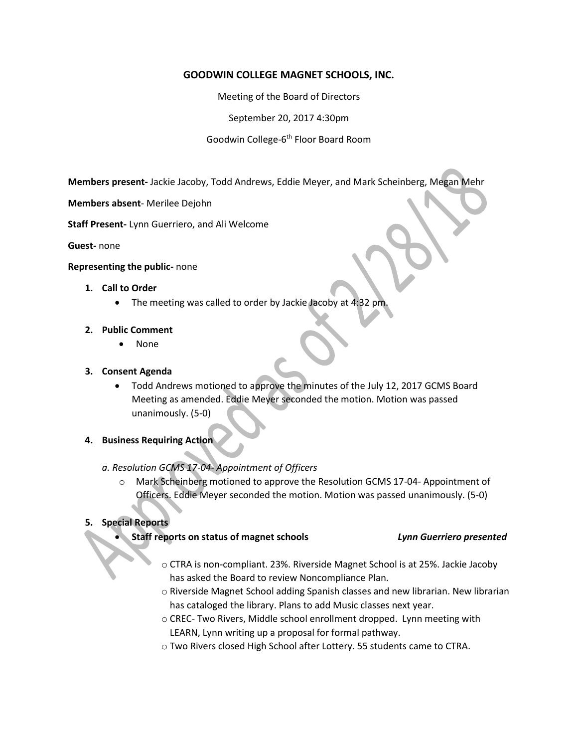# **GOODWIN COLLEGE MAGNET SCHOOLS, INC.**

Meeting of the Board of Directors

September 20, 2017 4:30pm

Goodwin College-6<sup>th</sup> Floor Board Room

**Members present-** Jackie Jacoby, Todd Andrews, Eddie Meyer, and Mark Scheinberg, Megan Mehr

**Members absent**- Merilee Dejohn

**Staff Present-** Lynn Guerriero, and Ali Welcome

**Guest-** none

#### **Representing the public-** none

## **1. Call to Order**

• The meeting was called to order by Jackie Jacoby at 4:32 pm

## **2. Public Comment**

None

## **3. Consent Agenda**

- Todd Andrews motioned to approve the minutes of the July 12, 2017 GCMS Board Meeting as amended. Eddie Meyer seconded the motion. Motion was passed unanimously. (5-0)
- **4. Business Requiring Action**

# *a. Resolution GCMS 17-04- Appointment of Officers*

o Mark Scheinberg motioned to approve the Resolution GCMS 17-04- Appointment of Officers. Eddie Meyer seconded the motion. Motion was passed unanimously. (5-0)

## **5. Special Reports**

**Staff reports on status of magnet schools** *Lynn Guerriero presented*

- o CTRA is non-compliant. 23%. Riverside Magnet School is at 25%. Jackie Jacoby has asked the Board to review Noncompliance Plan.
- o Riverside Magnet School adding Spanish classes and new librarian. New librarian has cataloged the library. Plans to add Music classes next year.
- o CREC- Two Rivers, Middle school enrollment dropped. Lynn meeting with LEARN, Lynn writing up a proposal for formal pathway.
- o Two Rivers closed High School after Lottery. 55 students came to CTRA.